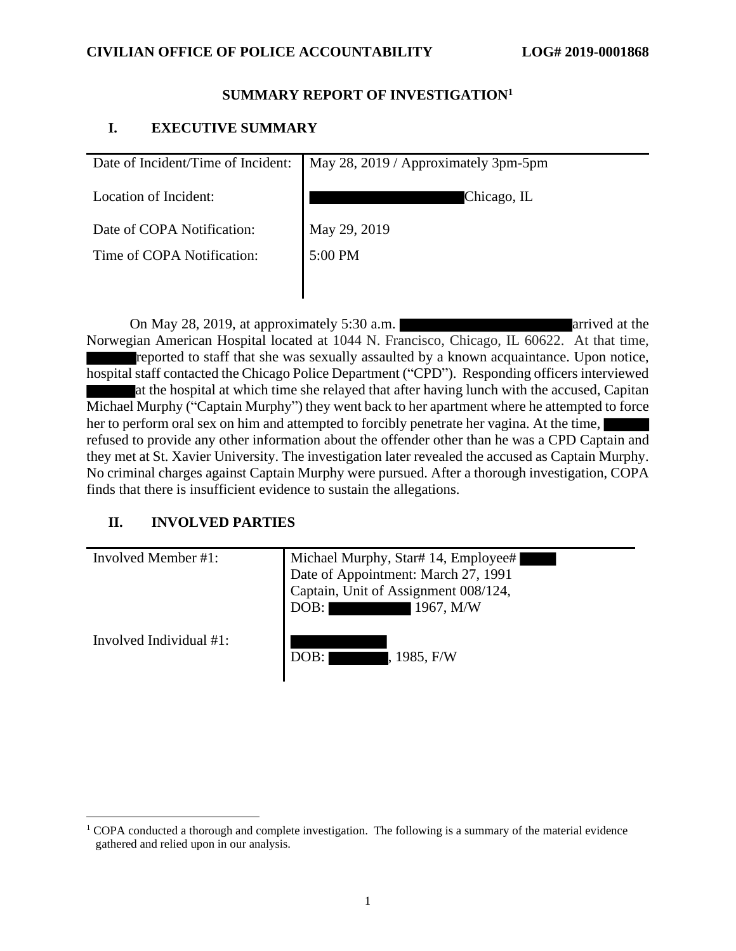### **SUMMARY REPORT OF INVESTIGATION<sup>1</sup>**

## **I. EXECUTIVE SUMMARY**

| Date of Incident/Time of Incident: | May 28, 2019 / Approximately 3pm-5pm |
|------------------------------------|--------------------------------------|
| Location of Incident:              | Chicago, IL                          |
| Date of COPA Notification:         | May 29, 2019                         |
| Time of COPA Notification:         | 5:00 PM                              |
|                                    |                                      |

On May 28, 2019, at approximately 5:30 a.m. Norwegian American Hospital located at 1044 N. Francisco, Chicago, IL 60622. At that time, reported to staff that she was sexually assaulted by a known acquaintance. Upon notice, hospital staff contacted the Chicago Police Department ("CPD"). Responding officers interviewed at the hospital at which time she relayed that after having lunch with the accused, Capitan Michael Murphy ("Captain Murphy") they went back to her apartment where he attempted to force her to perform oral sex on him and attempted to forcibly penetrate her vagina. At the time, refused to provide any other information about the offender other than he was a CPD Captain and they met at St. Xavier University. The investigation later revealed the accused as Captain Murphy. No criminal charges against Captain Murphy were pursued. After a thorough investigation, COPA finds that there is insufficient evidence to sustain the allegations.

# **II. INVOLVED PARTIES**

| Involved Member #1:     | Michael Murphy, Star# 14, Employee#<br>Date of Appointment: March 27, 1991<br>Captain, Unit of Assignment 008/124,<br>1967, M/W<br>DOB: |
|-------------------------|-----------------------------------------------------------------------------------------------------------------------------------------|
| Involved Individual #1: | DOB:<br>, 1985, F/W                                                                                                                     |

 $1$  COPA conducted a thorough and complete investigation. The following is a summary of the material evidence gathered and relied upon in our analysis.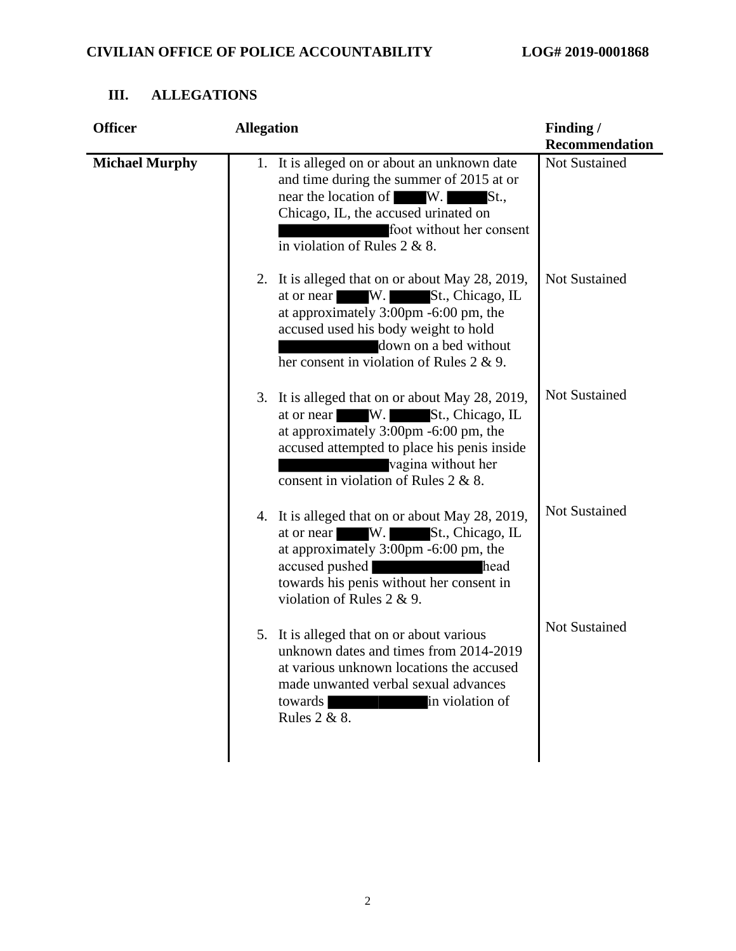| <b>Officer</b>        | <b>Allegation</b>                                                                                                                                                                                                                                      | Finding /<br><b>Recommendation</b> |
|-----------------------|--------------------------------------------------------------------------------------------------------------------------------------------------------------------------------------------------------------------------------------------------------|------------------------------------|
| <b>Michael Murphy</b> | 1. It is alleged on or about an unknown date<br>and time during the summer of 2015 at or<br>near the location of W.<br>St.,<br>Chicago, IL, the accused urinated on<br>foot without her consent<br>in violation of Rules $2 & 8$ .                     | Not Sustained                      |
|                       | 2. It is alleged that on or about May 28, 2019,<br>$W_{\cdot}$<br>St., Chicago, IL<br>at or near<br>at approximately 3:00pm -6:00 pm, the<br>accused used his body weight to hold<br>down on a bed without<br>her consent in violation of Rules 2 & 9. | <b>Not Sustained</b>               |
|                       | 3. It is alleged that on or about May 28, 2019,<br>at or near W. St., Chicago, IL<br>at approximately $3:00 \text{pm}$ -6:00 pm, the<br>accused attempted to place his penis inside<br>vagina without her<br>consent in violation of Rules 2 & 8.      | <b>Not Sustained</b>               |
|                       | 4. It is alleged that on or about May 28, 2019,<br>at or near W. St., Chicago, IL<br>at approximately 3:00pm -6:00 pm, the<br>accused pushed<br>towards his penis without her consent in<br>violation of Rules 2 & 9.                                  | <b>Not Sustained</b><br>head       |
|                       | It is alleged that on or about various<br>5.<br>unknown dates and times from 2014-2019<br>at various unknown locations the accused<br>made unwanted verbal sexual advances<br>in violation of<br>towards<br>Rules 2 & 8.                               | <b>Not Sustained</b>               |

# **III. ALLEGATIONS**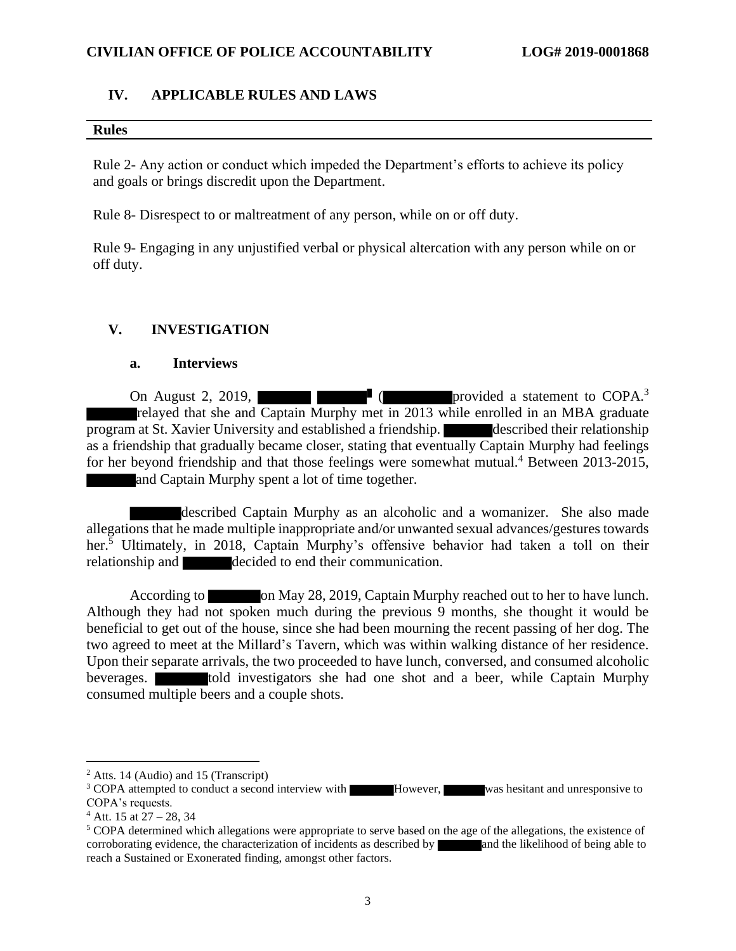### **IV. APPLICABLE RULES AND LAWS**

#### **Rules**

Rule 2- Any action or conduct which impeded the Department's efforts to achieve its policy and goals or brings discredit upon the Department.

Rule 8- Disrespect to or maltreatment of any person, while on or off duty.

Rule 9- Engaging in any unjustified verbal or physical altercation with any person while on or off duty.

# **V. INVESTIGATION**

### **a. Interviews**

On August 2, 2019,  $\blacksquare$  (provided a statement to COPA.<sup>3</sup> relayed that she and Captain Murphy met in 2013 while enrolled in an MBA graduate program at St. Xavier University and established a friendship. described their relationship as a friendship that gradually became closer, stating that eventually Captain Murphy had feelings for her beyond friendship and that those feelings were somewhat mutual.<sup>4</sup> Between 2013-2015, and Captain Murphy spent a lot of time together.

described Captain Murphy as an alcoholic and a womanizer. She also made allegations that he made multiple inappropriate and/or unwanted sexual advances/gestures towards her.<sup>5</sup> Ultimately, in 2018, Captain Murphy's offensive behavior had taken a toll on their relationship and decided to end their communication.

According to on May 28, 2019, Captain Murphy reached out to her to have lunch. Although they had not spoken much during the previous 9 months, she thought it would be beneficial to get out of the house, since she had been mourning the recent passing of her dog. The two agreed to meet at the Millard's Tavern, which was within walking distance of her residence. Upon their separate arrivals, the two proceeded to have lunch, conversed, and consumed alcoholic beverages. told investigators she had one shot and a beer, while Captain Murphy consumed multiple beers and a couple shots.

 $<sup>2</sup>$  Atts. 14 (Audio) and 15 (Transcript)</sup>

<sup>&</sup>lt;sup>3</sup> COPA attempted to conduct a second interview with **However**, was hesitant and unresponsive to COPA's requests.

 $4$  Att. 15 at 27 – 28, 34

<sup>5</sup> COPA determined which allegations were appropriate to serve based on the age of the allegations, the existence of corroborating evidence, the characterization of incidents as described by and the likelihood of being able to reach a Sustained or Exonerated finding, amongst other factors.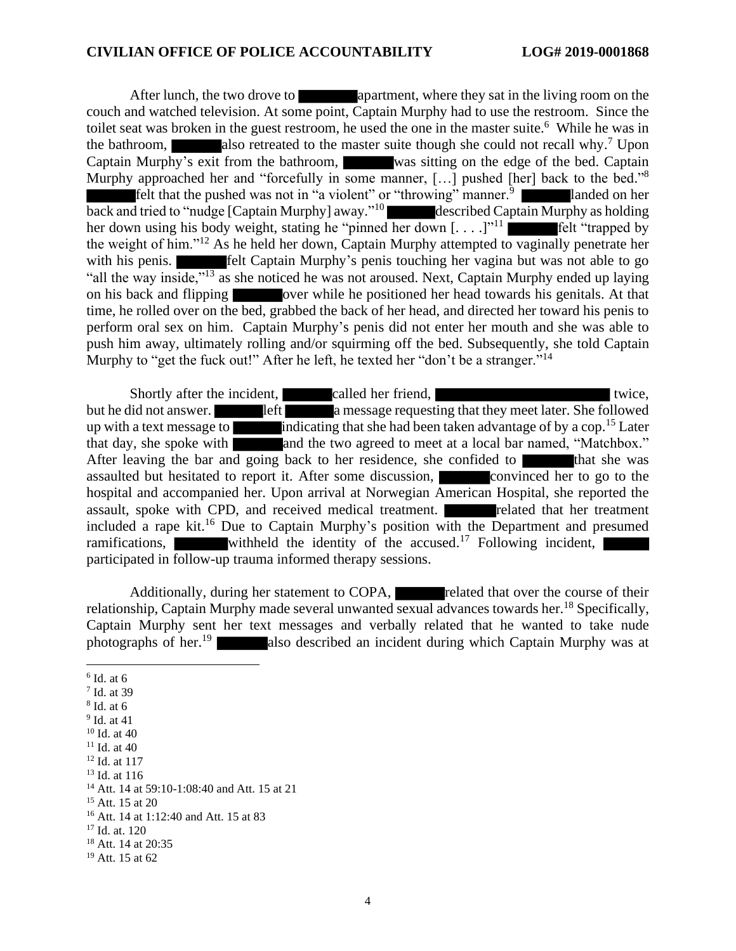After lunch, the two drove to apartment, where they sat in the living room on the couch and watched television. At some point, Captain Murphy had to use the restroom. Since the toilet seat was broken in the guest restroom, he used the one in the master suite.<sup>6</sup> While he was in the bathroom, also retreated to the master suite though she could not recall why.<sup>7</sup> Upon Captain Murphy's exit from the bathroom, was sitting on the edge of the bed. Captain Murphy approached her and "forcefully in some manner, [...] pushed [her] back to the bed."<sup>8</sup> felt that the pushed was not in "a violent" or "throwing" manner.<sup>9</sup> **landed on her** back and tried to "nudge [Captain Murphy] away."<sup>10</sup> described Captain Murphy as holding her down using his body weight, stating he "pinned her down  $[\dots]$ "<sup>11</sup> felt "trapped by the weight of him."<sup>12</sup> As he held her down, Captain Murphy attempted to vaginally penetrate her with his penis. **Felt Captain Murphy's penis touching her vagina but was not able to go** "all the way inside,"<sup>13</sup> as she noticed he was not aroused. Next, Captain Murphy ended up laying on his back and flipping over while he positioned her head towards his genitals. At that time, he rolled over on the bed, grabbed the back of her head, and directed her toward his penis to perform oral sex on him. Captain Murphy's penis did not enter her mouth and she was able to push him away, ultimately rolling and/or squirming off the bed. Subsequently, she told Captain Murphy to "get the fuck out!" After he left, he texted her "don't be a stranger."<sup>14</sup>

Shortly after the incident, called her friend, but he did not answer. **left** a message requesting that they meet later. She followed up with a text message to indicating that she had been taken advantage of by a cop.<sup>15</sup> Later that day, she spoke with and the two agreed to meet at a local bar named, "Matchbox." After leaving the bar and going back to her residence, she confided to that she was assaulted but hesitated to report it. After some discussion, convinced her to go to the hospital and accompanied her. Upon arrival at Norwegian American Hospital, she reported the assault, spoke with CPD, and received medical treatment. **The related that her treatment** included a rape kit.<sup>16</sup> Due to Captain Murphy's position with the Department and presumed ramifications, withheld the identity of the accused.<sup>17</sup> Following incident, participated in follow-up trauma informed therapy sessions.

Additionally, during her statement to COPA, related that over the course of their relationship, Captain Murphy made several unwanted sexual advances towards her.<sup>18</sup> Specifically, Captain Murphy sent her text messages and verbally related that he wanted to take nude photographs of her.<sup>19</sup> also described an incident during which Captain Murphy was at

<sup>6</sup> Id. at 6

<sup>7</sup> Id. at 39

<sup>8</sup> Id. at 6

<sup>&</sup>lt;sup>9</sup> Id. at 41

<sup>10</sup> Id. at 40 <sup>11</sup> Id. at 40

<sup>12</sup> Id. at 117

<sup>13</sup> Id. at 116

<sup>&</sup>lt;sup>14</sup> Att. 14 at 59:10-1:08:40 and Att. 15 at 21

<sup>15</sup> Att. 15 at 20

<sup>16</sup> Att. 14 at 1:12:40 and Att. 15 at 83

<sup>17</sup> Id. at. 120

<sup>&</sup>lt;sup>18</sup> Att. 14 at 20:35

<sup>19</sup> Att. 15 at 62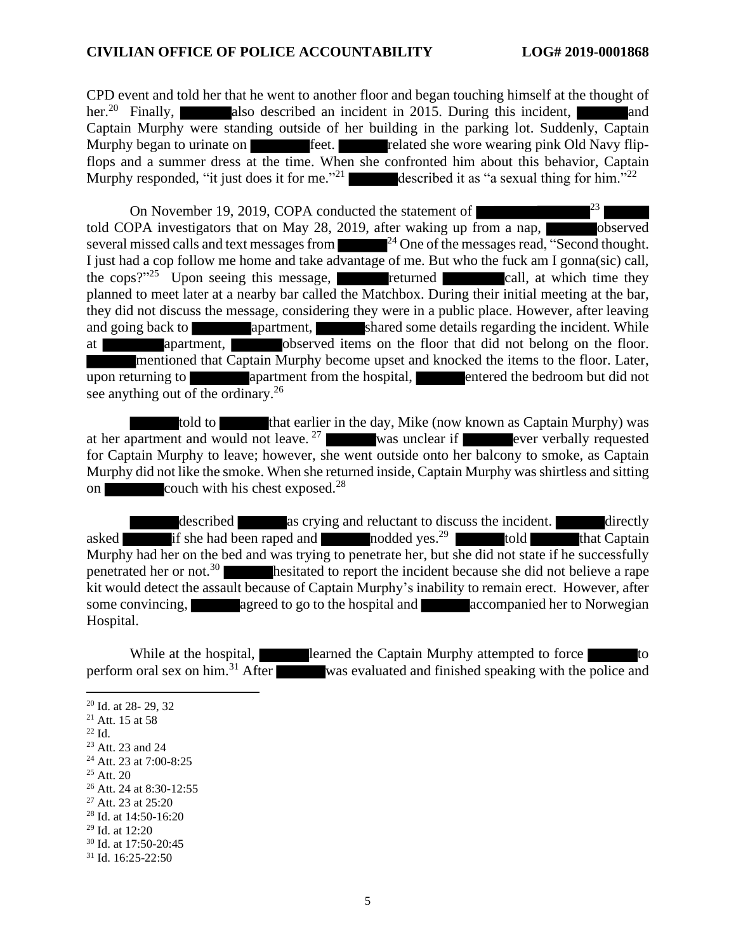CPD event and told her that he went to another floor and began touching himself at the thought of her.<sup>20</sup> Finally, also described an incident in 2015. During this incident, and Captain Murphy were standing outside of her building in the parking lot. Suddenly, Captain Murphy began to urinate on feet. Feet. Felated she wore wearing pink Old Navy flipflops and a summer dress at the time. When she confronted him about this behavior, Captain Murphy responded, "it just does it for me."<sup>21</sup> described it as "a sexual thing for him."<sup>22</sup>

On November 19, 2019, COPA conducted the statement of  $\sim$  23 told COPA investigators that on May 28, 2019, after waking up from a nap, several missed calls and text messages from  $^{24}$  One of the messages read, "Second thought. I just had a cop follow me home and take advantage of me. But who the fuck am I gonna(sic) call, the cops? $n^{25}$  Upon seeing this message, returned call, at which time they planned to meet later at a nearby bar called the Matchbox. During their initial meeting at the bar, they did not discuss the message, considering they were in a public place. However, after leaving and going back to apartment, shared some details regarding the incident. While at apartment, observed items on the floor that did not belong on the floor. mentioned that Captain Murphy become upset and knocked the items to the floor. Later, upon returning to apartment from the hospital, approximate the bedroom but did not see anything out of the ordinary.<sup>26</sup>

told to that earlier in the day, Mike (now known as Captain Murphy) was at her apartment and would not leave.<sup>27</sup> was unclear if ever verbally requested for Captain Murphy to leave; however, she went outside onto her balcony to smoke, as Captain Murphy did not like the smoke. When she returned inside, Captain Murphy wasshirtless and sitting on  $\sim$  couch with his chest exposed.<sup>28</sup>

described as crying and reluctant to discuss the incident. directly asked if she had been raped and nodded yes.<sup>29</sup> told that Captain Murphy had her on the bed and was trying to penetrate her, but she did not state if he successfully penetrated her or not.<sup>30</sup> hesitated to report the incident because she did not believe a rape kit would detect the assault because of Captain Murphy's inability to remain erect. However, after some convincing, agreed to go to the hospital and accompanied her to Norwegian Hospital.

While at the hospital, **learned** the Captain Murphy attempted to force to to perform oral sex on him.<sup>31</sup> After was evaluated and finished speaking with the police and

 $^{22}$  Id.

 $25$  Att. 20

<sup>27</sup> Att. 23 at 25:20

<sup>29</sup> Id. at 12:20

<sup>20</sup> Id. at 28- 29, 32

<sup>21</sup> Att. 15 at 58

<sup>23</sup> Att. 23 and 24

<sup>24</sup> Att. 23 at 7:00-8:25

<sup>26</sup> Att. 24 at 8:30-12:55

<sup>28</sup> Id. at 14:50-16:20

<sup>30</sup> Id. at 17:50-20:45

<sup>31</sup> Id. 16:25-22:50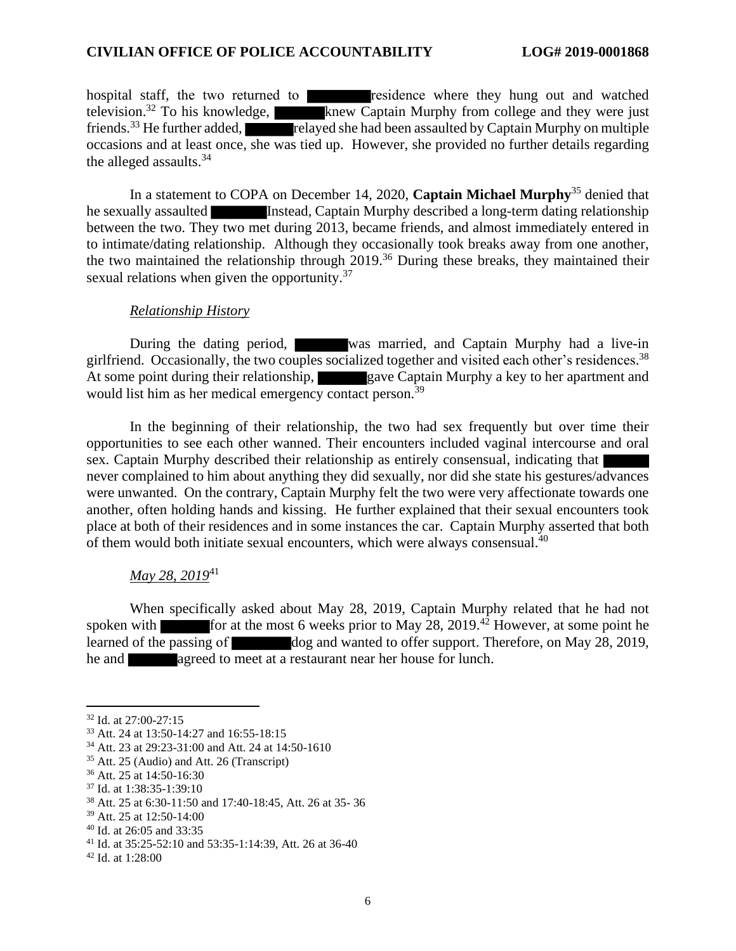hospital staff, the two returned to residence where they hung out and watched television.<sup>32</sup> To his knowledge, knew Captain Murphy from college and they were just friends.<sup>33</sup> He further added, relayed she had been assaulted by Captain Murphy on multiple occasions and at least once, she was tied up. However, she provided no further details regarding the alleged assaults.<sup>34</sup>

In a statement to COPA on December 14, 2020, **Captain Michael Murphy**<sup>35</sup> denied that he sexually assaulted Instead, Captain Murphy described a long-term dating relationship between the two. They two met during 2013, became friends, and almost immediately entered in to intimate/dating relationship. Although they occasionally took breaks away from one another, the two maintained the relationship through 2019.<sup>36</sup> During these breaks, they maintained their sexual relations when given the opportunity.<sup>37</sup>

#### *Relationship History*

During the dating period, was married, and Captain Murphy had a live-in girlfriend. Occasionally, the two couples socialized together and visited each other's residences.<sup>38</sup> At some point during their relationship, gave Captain Murphy a key to her apartment and would list him as her medical emergency contact person.<sup>39</sup>

In the beginning of their relationship, the two had sex frequently but over time their opportunities to see each other wanned. Their encounters included vaginal intercourse and oral sex. Captain Murphy described their relationship as entirely consensual, indicating that never complained to him about anything they did sexually, nor did she state his gestures/advances were unwanted. On the contrary, Captain Murphy felt the two were very affectionate towards one another, often holding hands and kissing. He further explained that their sexual encounters took place at both of their residences and in some instances the car. Captain Murphy asserted that both of them would both initiate sexual encounters, which were always consensual.<sup>40</sup>

## *May 28, 2019*<sup>41</sup>

When specifically asked about May 28, 2019, Captain Murphy related that he had not spoken with  $\blacksquare$  for at the most 6 weeks prior to May 28, 2019.<sup>42</sup> However, at some point he learned of the passing of dog and wanted to offer support. Therefore, on May 28, 2019, he and agreed to meet at a restaurant near her house for lunch.

<sup>32</sup> Id. at 27:00-27:15

<sup>33</sup> Att. 24 at 13:50-14:27 and 16:55-18:15

<sup>34</sup> Att. 23 at 29:23-31:00 and Att. 24 at 14:50-1610

<sup>35</sup> Att. 25 (Audio) and Att. 26 (Transcript)

<sup>36</sup> Att. 25 at 14:50-16:30

<sup>37</sup> Id. at 1:38:35-1:39:10

<sup>38</sup> Att. 25 at 6:30-11:50 and 17:40-18:45, Att. 26 at 35- 36

<sup>39</sup> Att. 25 at 12:50-14:00

<sup>40</sup> Id. at 26:05 and 33:35

<sup>41</sup> Id. at 35:25-52:10 and 53:35-1:14:39, Att. 26 at 36-40

<sup>42</sup> Id. at 1:28:00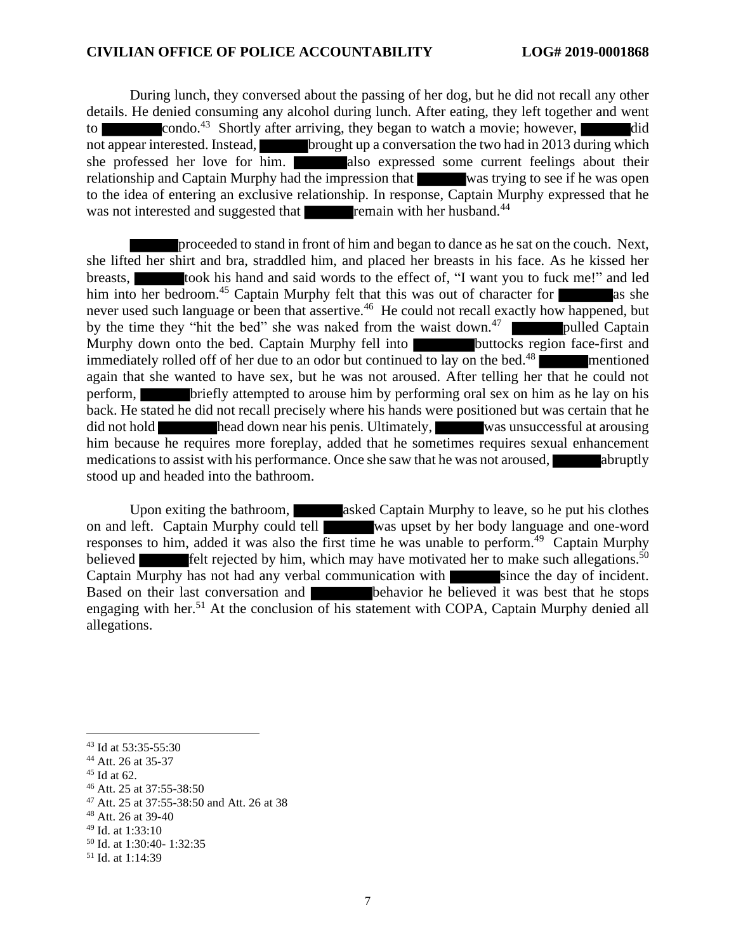During lunch, they conversed about the passing of her dog, but he did not recall any other details. He denied consuming any alcohol during lunch. After eating, they left together and went to condo.<sup>43</sup> Shortly after arriving, they began to watch a movie; however, did not appear interested. Instead, brought up a conversation the two had in 2013 during which she professed her love for him. also expressed some current feelings about their relationship and Captain Murphy had the impression that was trying to see if he was open to the idea of entering an exclusive relationship. In response, Captain Murphy expressed that he was not interested and suggested that **remain with her husband.**<sup>44</sup>

proceeded to stand in front of him and began to dance as he sat on the couch. Next, she lifted her shirt and bra, straddled him, and placed her breasts in his face. As he kissed her breasts, took his hand and said words to the effect of, "I want you to fuck me!" and led him into her bedroom.<sup>45</sup> Captain Murphy felt that this was out of character for as she never used such language or been that assertive.<sup>46</sup> He could not recall exactly how happened, but by the time they "hit the bed" she was naked from the waist down.<sup>47</sup>  $\blacksquare$  pulled Captain Murphy down onto the bed. Captain Murphy fell into **buttocks** region face-first and immediately rolled off of her due to an odor but continued to lay on the bed.<sup>48</sup> mentioned again that she wanted to have sex, but he was not aroused. After telling her that he could not perform, briefly attempted to arouse him by performing oral sex on him as he lay on his back. He stated he did not recall precisely where his hands were positioned but was certain that he did not hold head down near his penis. Ultimately, was unsuccessful at arousing him because he requires more foreplay, added that he sometimes requires sexual enhancement medications to assist with his performance. Once she saw that he was not aroused, abruptly stood up and headed into the bathroom.

Upon exiting the bathroom, asked Captain Murphy to leave, so he put his clothes on and left. Captain Murphy could tell was upset by her body language and one-word was upset by her body language and one-word responses to him, added it was also the first time he was unable to perform.<sup>49</sup> Captain Murphy believed **felt** rejected by him, which may have motivated her to make such allegations.<sup>50</sup> Captain Murphy has not had any verbal communication with since the day of incident. Based on their last conversation and behavior he believed it was best that he stops engaging with her.<sup>51</sup> At the conclusion of his statement with COPA, Captain Murphy denied all allegations.

<sup>43</sup> Id at 53:35-55:30

<sup>44</sup> Att. 26 at 35-37

 $45$  Id at 62.

<sup>46</sup> Att. 25 at 37:55-38:50

<sup>47</sup> Att. 25 at 37:55-38:50 and Att. 26 at 38

<sup>48</sup> Att. 26 at 39-40

<sup>49</sup> Id. at 1:33:10

<sup>50</sup> Id. at 1:30:40- 1:32:35

<sup>51</sup> Id. at 1:14:39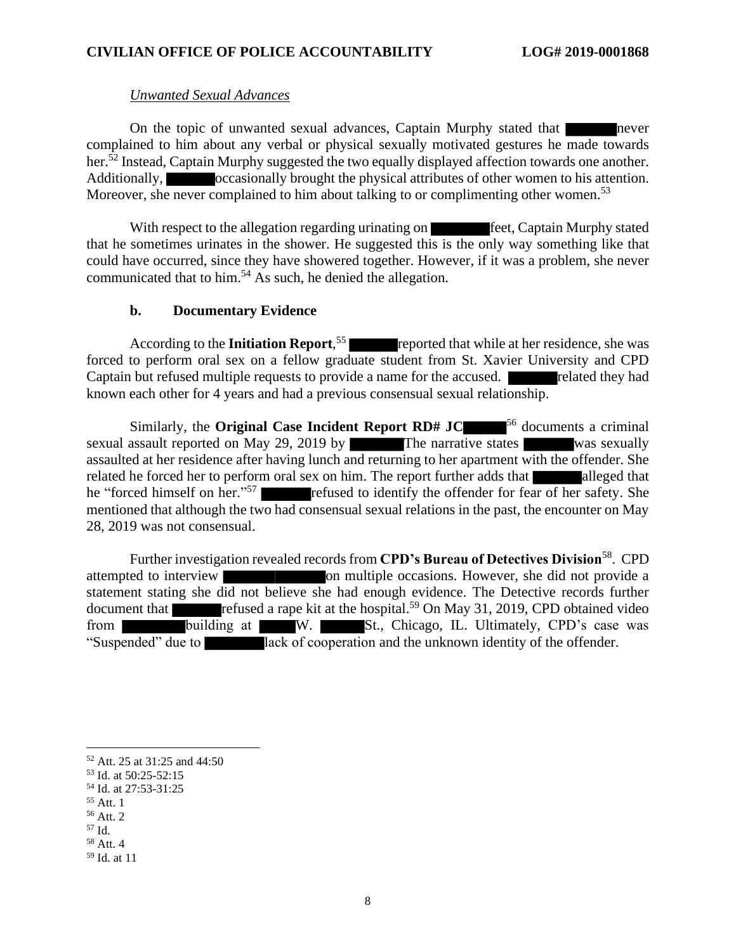### *Unwanted Sexual Advances*

On the topic of unwanted sexual advances, Captain Murphy stated that never complained to him about any verbal or physical sexually motivated gestures he made towards her.<sup>52</sup> Instead, Captain Murphy suggested the two equally displayed affection towards one another. Additionally, occasionally brought the physical attributes of other women to his attention. Moreover, she never complained to him about talking to or complimenting other women.<sup>53</sup>

With respect to the allegation regarding urinating on **Feet**, Captain Murphy stated that he sometimes urinates in the shower. He suggested this is the only way something like that could have occurred, since they have showered together. However, if it was a problem, she never communicated that to him.<sup>54</sup> As such, he denied the allegation.

### **b. Documentary Evidence**

According to the **Initiation Report**,<sup>55</sup> reported that while at her residence, she was forced to perform oral sex on a fellow graduate student from St. Xavier University and CPD Captain but refused multiple requests to provide a name for the accused. The related they had known each other for 4 years and had a previous consensual sexual relationship.

Similarly, the **Original Case Incident Report RD# JC** <sup>56</sup> documents a criminal sexual assault reported on May 29, 2019 by The narrative states was sexually assaulted at her residence after having lunch and returning to her apartment with the offender. She related he forced her to perform oral sex on him. The report further adds that alleged that he "forced himself on her."<sup>57</sup> refused to identify the offender for fear of her safety. She mentioned that although the two had consensual sexual relations in the past, the encounter on May 28, 2019 was not consensual.

Further investigation revealed records from **CPD's Bureau of Detectives Division**<sup>58</sup>. CPD attempted to interview on multiple occasions. However, she did not provide a statement stating she did not believe she had enough evidence. The Detective records further document that refused a rape kit at the hospital.<sup>59</sup> On May 31, 2019, CPD obtained video from building at W. St., Chicago, IL. Ultimately, CPD's case was "Suspended" due to lack of cooperation and the unknown identity of the offender.

<sup>55</sup> Att. 1

<sup>52</sup> Att. 25 at 31:25 and 44:50

<sup>53</sup> Id. at 50:25-52:15

<sup>54</sup> Id. at 27:53-31:25

<sup>56</sup> Att. 2

<sup>57</sup> Id.

<sup>58</sup> Att. 4

<sup>59</sup> Id. at 11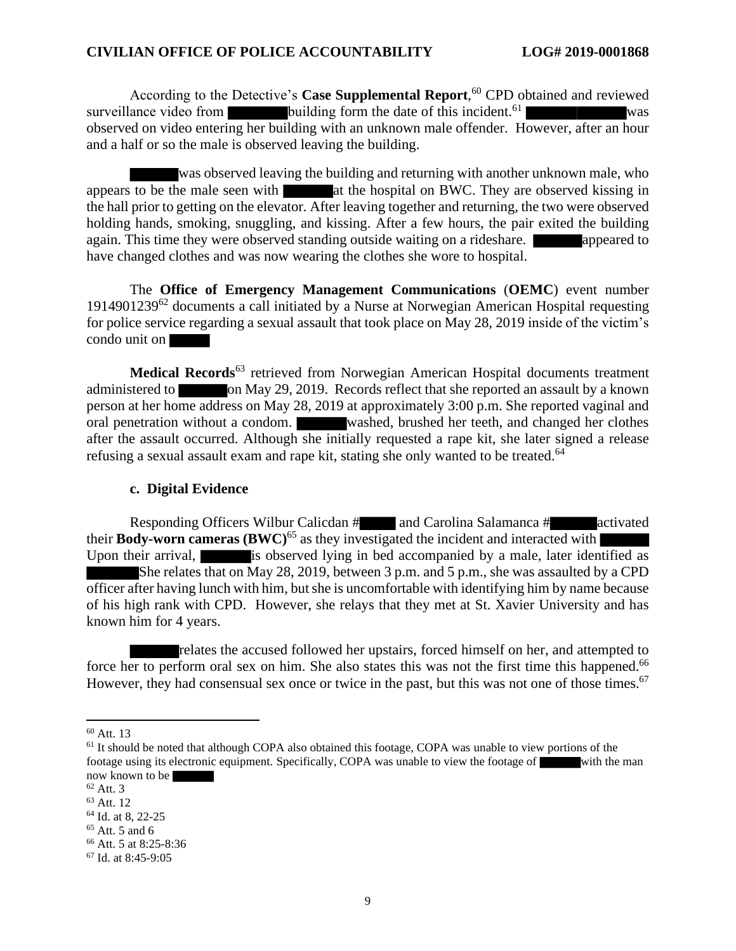According to the Detective's **Case Supplemental Report**, <sup>60</sup> CPD obtained and reviewed surveillance video from building form the date of this incident.<sup>61</sup> was observed on video entering her building with an unknown male offender. However, after an hour and a half or so the male is observed leaving the building.

was observed leaving the building and returning with another unknown male, who appears to be the male seen with  $\Box$  at the hospital on BWC. They are observed kissing in the hall prior to getting on the elevator. After leaving together and returning, the two were observed holding hands, smoking, snuggling, and kissing. After a few hours, the pair exited the building again. This time they were observed standing outside waiting on a rideshare. Appeared to have changed clothes and was now wearing the clothes she wore to hospital.

The **Office of Emergency Management Communications** (**OEMC**) event number 1914901239<sup>62</sup> documents a call initiated by a Nurse at Norwegian American Hospital requesting for police service regarding a sexual assault that took place on May 28, 2019 inside of the victim's condo unit on

**Medical Records**<sup>63</sup> retrieved from Norwegian American Hospital documents treatment administered to on May 29, 2019. Records reflect that she reported an assault by a known person at her home address on May 28, 2019 at approximately 3:00 p.m. She reported vaginal and oral penetration without a condom. washed, brushed her teeth, and changed her clothes after the assault occurred. Although she initially requested a rape kit, she later signed a release refusing a sexual assault exam and rape kit, stating she only wanted to be treated. 64

#### **c. Digital Evidence**

Responding Officers Wilbur Calicdan # and Carolina Salamanca # activated their **Body-worn cameras**  $(BWC)^{65}$  as they investigated the incident and interacted with Upon their arrival, is observed lying in bed accompanied by a male, later identified as She relates that on May 28, 2019, between 3 p.m. and 5 p.m., she was assaulted by a CPD officer after having lunch with him, but she is uncomfortable with identifying him by name because of his high rank with CPD. However, she relays that they met at St. Xavier University and has known him for 4 years.

relates the accused followed her upstairs, forced himself on her, and attempted to force her to perform oral sex on him. She also states this was not the first time this happened.<sup>66</sup> However, they had consensual sex once or twice in the past, but this was not one of those times.<sup>67</sup>

 $60$  Att. 13

<sup>&</sup>lt;sup>61</sup> It should be noted that although COPA also obtained this footage, COPA was unable to view portions of the footage using its electronic equipment. Specifically, COPA was unable to view the footage of with the man now known to be

 $62$  Att. 3

<sup>63</sup> Att. 12

<sup>&</sup>lt;sup>64</sup> Id. at 8, 22-25

 $65$  Att. 5 and 6

<sup>66</sup> Att. 5 at 8:25-8:36

<sup>67</sup> Id. at 8:45-9:05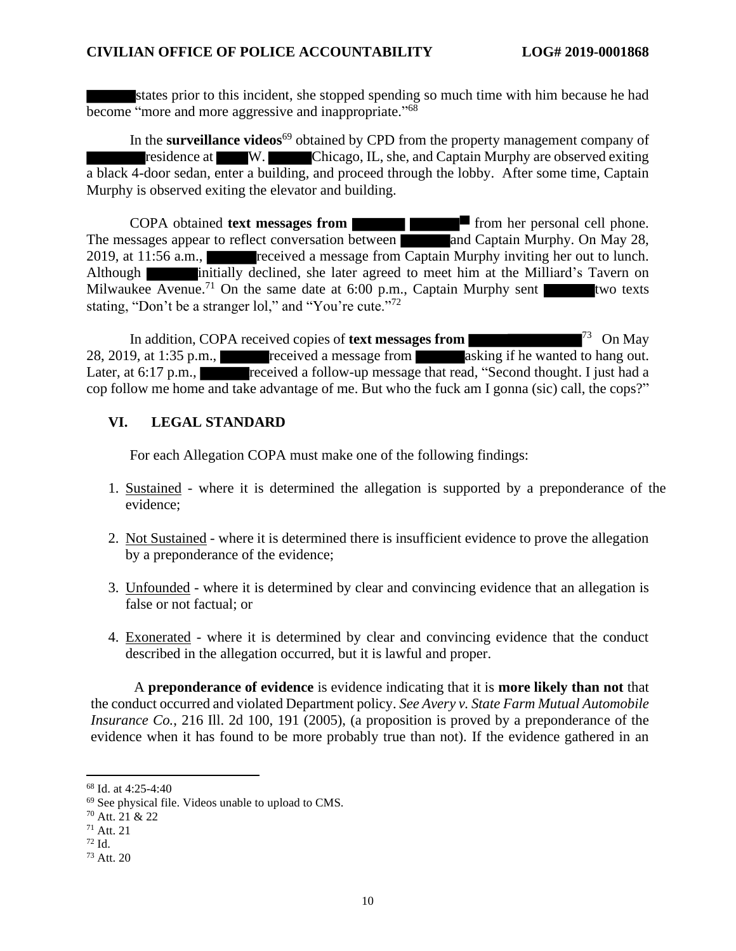states prior to this incident, she stopped spending so much time with him because he had become "more and more aggressive and inappropriate."<sup>68</sup>

In the **surveillance videos**<sup>69</sup> obtained by CPD from the property management company of residence at W. Chicago, IL, she, and Captain Murphy are observed exiting a black 4-door sedan, enter a building, and proceed through the lobby. After some time, Captain Murphy is observed exiting the elevator and building.

COPA obtained **text messages from <b>from from** from her personal cell phone. The messages appear to reflect conversation between and Captain Murphy. On May 28, 2019, at 11:56 a.m., received a message from Captain Murphy inviting her out to lunch. Although **initially declined**, she later agreed to meet him at the Milliard's Tavern on Milwaukee Avenue.<sup>71</sup> On the same date at 6:00 p.m., Captain Murphy sent two texts stating, "Don't be a stranger lol," and "You're cute."<sup>72</sup>

In addition, COPA received copies of **text messages from**  $^{73}$  On May 28, 2019, at 1:35 p.m., received a message from asking if he wanted to hang out. Later, at 6:17 p.m., received a follow-up message that read, "Second thought. I just had a cop follow me home and take advantage of me. But who the fuck am I gonna (sic) call, the cops?"

### **VI. LEGAL STANDARD**

For each Allegation COPA must make one of the following findings:

- 1. Sustained where it is determined the allegation is supported by a preponderance of the evidence;
- 2. Not Sustained where it is determined there is insufficient evidence to prove the allegation by a preponderance of the evidence;
- 3. Unfounded where it is determined by clear and convincing evidence that an allegation is false or not factual; or
- 4. Exonerated where it is determined by clear and convincing evidence that the conduct described in the allegation occurred, but it is lawful and proper.

A **preponderance of evidence** is evidence indicating that it is **more likely than not** that the conduct occurred and violated Department policy. *See Avery v. State Farm Mutual Automobile Insurance Co.*, 216 Ill. 2d 100, 191 (2005), (a proposition is proved by a preponderance of the evidence when it has found to be more probably true than not). If the evidence gathered in an

<sup>68</sup> Id. at 4:25-4:40

<sup>69</sup> See physical file. Videos unable to upload to CMS.

<sup>70</sup> Att. 21 & 22

<sup>71</sup> Att. 21

 $72$  Id.

<sup>73</sup> Att. 20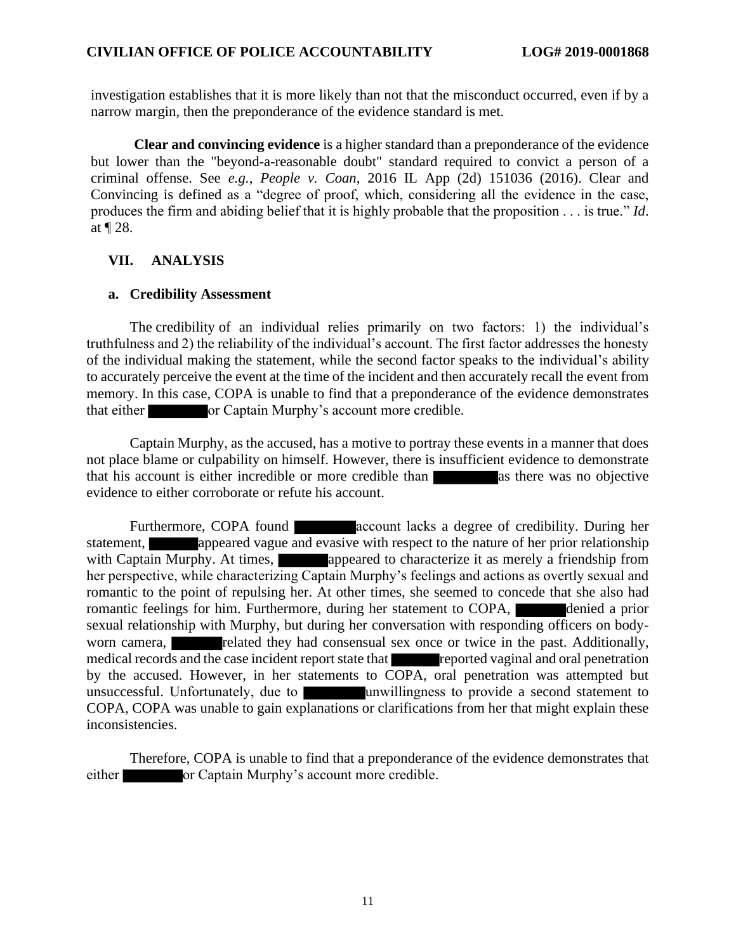investigation establishes that it is more likely than not that the misconduct occurred, even if by a narrow margin, then the preponderance of the evidence standard is met.

**Clear and convincing evidence** is a higher standard than a preponderance of the evidence but lower than the "beyond-a-reasonable doubt" standard required to convict a person of a criminal offense. See *e.g.*, *People v. Coan*, 2016 IL App (2d) 151036 (2016). Clear and Convincing is defined as a "degree of proof, which, considering all the evidence in the case, produces the firm and abiding belief that it is highly probable that the proposition . . . is true." *Id*. at ¶ 28.

## **VII. ANALYSIS**

#### **a. Credibility Assessment**

The credibility of an individual relies primarily on two factors: 1) the individual's truthfulness and 2) the reliability of the individual's account. The first factor addresses the honesty of the individual making the statement, while the second factor speaks to the individual's ability to accurately perceive the event at the time of the incident and then accurately recall the event from memory. In this case, COPA is unable to find that a preponderance of the evidence demonstrates that either or Captain Murphy's account more credible.

Captain Murphy, as the accused, has a motive to portray these events in a manner that does not place blame or culpability on himself. However, there is insufficient evidence to demonstrate that his account is either incredible or more credible than as there was no objective evidence to either corroborate or refute his account.

Furthermore, COPA found **account lacks a degree of credibility.** During her statement, appeared vague and evasive with respect to the nature of her prior relationship with Captain Murphy. At times, appeared to characterize it as merely a friendship from her perspective, while characterizing Captain Murphy's feelings and actions as overtly sexual and romantic to the point of repulsing her. At other times, she seemed to concede that she also had romantic feelings for him. Furthermore, during her statement to COPA, denied a prior sexual relationship with Murphy, but during her conversation with responding officers on bodyworn camera, related they had consensual sex once or twice in the past. Additionally, medical records and the case incident report state that reported vaginal and oral penetration by the accused. However, in her statements to COPA, oral penetration was attempted but unsuccessful. Unfortunately, due to unwillingness to provide a second statement to COPA, COPA was unable to gain explanations or clarifications from her that might explain these inconsistencies.

Therefore, COPA is unable to find that a preponderance of the evidence demonstrates that either **or Captain Murphy's account more credible.**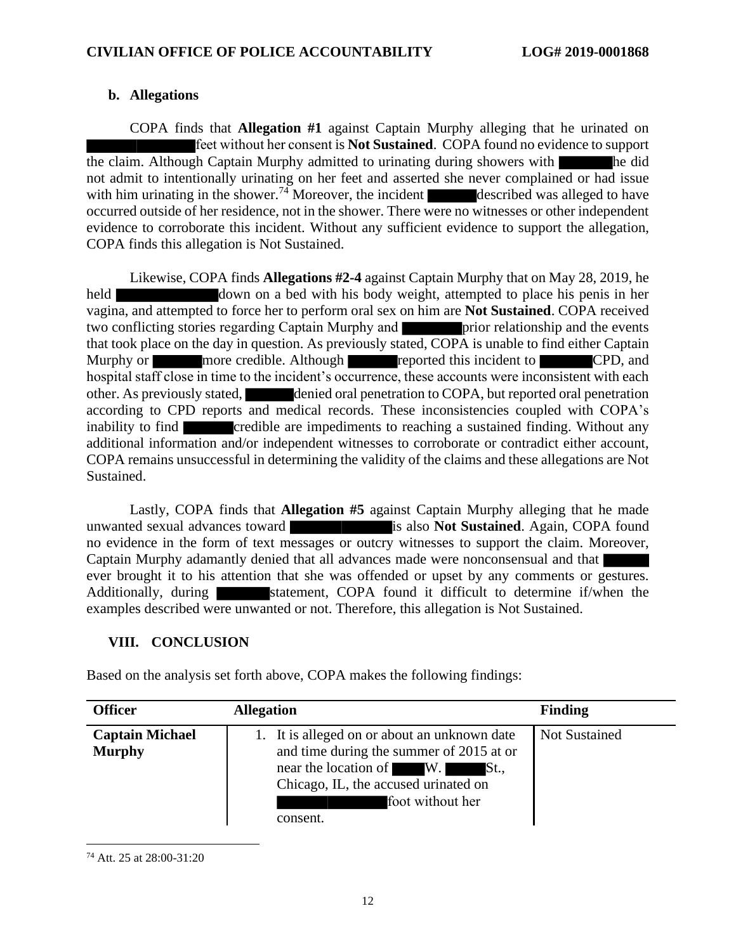# **b. Allegations**

COPA finds that **Allegation #1** against Captain Murphy alleging that he urinated on feet without her consent is **Not Sustained**. COPA found no evidence to support the claim. Although Captain Murphy admitted to urinating during showers with he did not admit to intentionally urinating on her feet and asserted she never complained or had issue with him urinating in the shower.<sup>74</sup> Moreover, the incident described was alleged to have occurred outside of her residence, not in the shower. There were no witnesses or other independent evidence to corroborate this incident. Without any sufficient evidence to support the allegation, COPA finds this allegation is Not Sustained.

Likewise, COPA finds **Allegations #2-4** against Captain Murphy that on May 28, 2019, he held down on a bed with his body weight, attempted to place his penis in her vagina, and attempted to force her to perform oral sex on him are **Not Sustained**. COPA received two conflicting stories regarding Captain Murphy and **prior** relationship and the events that took place on the day in question. As previously stated, COPA is unable to find either Captain Murphy or more credible. Although reported this incident to CPD, and hospital staff close in time to the incident's occurrence, these accounts were inconsistent with each other. As previously stated, denied oral penetration to COPA, but reported oral penetration according to CPD reports and medical records. These inconsistencies coupled with COPA's inability to find **credible** are impediments to reaching a sustained finding. Without any additional information and/or independent witnesses to corroborate or contradict either account, COPA remains unsuccessful in determining the validity of the claims and these allegations are Not Sustained.

Lastly, COPA finds that **Allegation #5** against Captain Murphy alleging that he made unwanted sexual advances toward **is also Not Sustained**. Again, COPA found no evidence in the form of text messages or outcry witnesses to support the claim. Moreover, Captain Murphy adamantly denied that all advances made were nonconsensual and that ever brought it to his attention that she was offended or upset by any comments or gestures. Additionally, during statement, COPA found it difficult to determine if/when the examples described were unwanted or not. Therefore, this allegation is Not Sustained.

# **VIII. CONCLUSION**

Based on the analysis set forth above, COPA makes the following findings:

| <b>Officer</b>                          | <b>Allegation</b>                                                                                                                                                                                   | <b>Finding</b>       |
|-----------------------------------------|-----------------------------------------------------------------------------------------------------------------------------------------------------------------------------------------------------|----------------------|
| <b>Captain Michael</b><br><b>Murphy</b> | 1. It is alleged on or about an unknown date<br>and time during the summer of 2015 at or<br>near the location of W.<br>St.,<br>Chicago, IL, the accused urinated on<br>foot without her<br>consent. | <b>Not Sustained</b> |

<sup>74</sup> Att. 25 at 28:00-31:20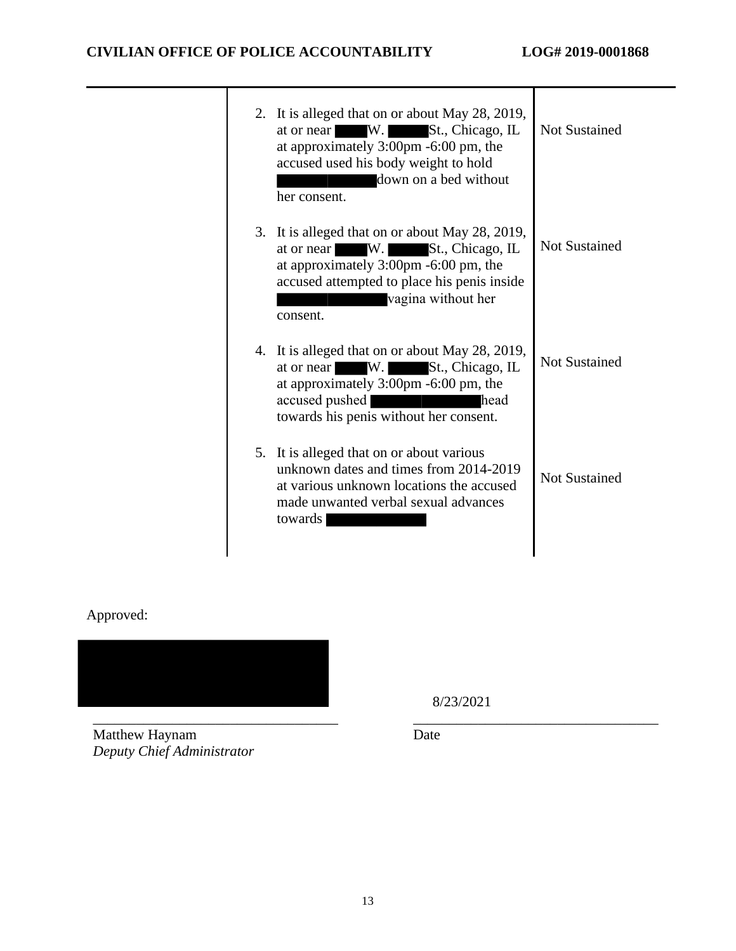|  | 2. It is alleged that on or about May 28, 2019,<br>W.<br>St., Chicago, IL<br>at or near<br>at approximately 3:00pm -6:00 pm, the<br>accused used his body weight to hold<br>down on a bed without<br>her consent.               | Not Sustained        |
|--|---------------------------------------------------------------------------------------------------------------------------------------------------------------------------------------------------------------------------------|----------------------|
|  | 3. It is alleged that on or about May 28, 2019,<br>W.<br>St., Chicago, IL<br>at or near<br>at approximately 3:00pm -6:00 pm, the<br>accused attempted to place his penis inside<br>vagina without her<br>consent.               | <b>Not Sustained</b> |
|  | 4. It is alleged that on or about May 28, 2019,<br>St., Chicago, IL<br>at or near W.<br>at approximately 3:00pm -6:00 pm, the<br>accused pushed<br>head<br><u> Tanzania y provinc</u><br>towards his penis without her consent. | <b>Not Sustained</b> |
|  | 5. It is alleged that on or about various<br>unknown dates and times from 2014-2019<br>at various unknown locations the accused<br>made unwanted verbal sexual advances<br>towards                                              | <b>Not Sustained</b> |
|  |                                                                                                                                                                                                                                 |                      |

# Approved:



8/23/2021

Matthew Haynam *Deputy Chief Administrator* Date